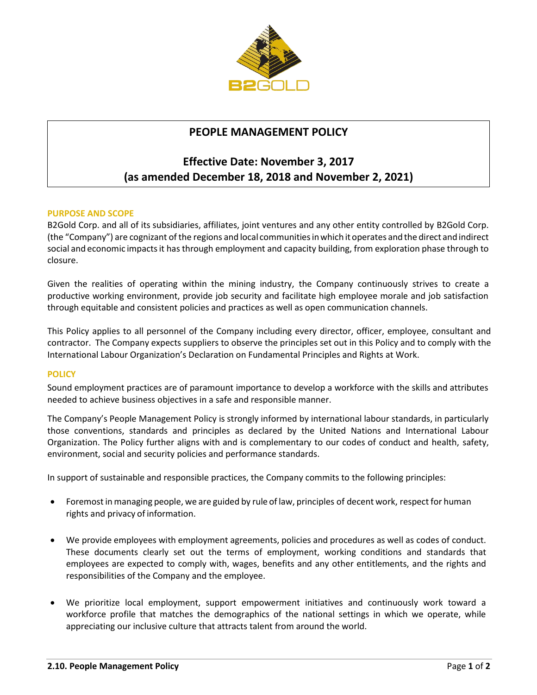

# **PEOPLE MANAGEMENT POLICY**

# **Effective Date: November 3, 2017 (as amended December 18, 2018 and November 2, 2021)**

### **PURPOSE AND SCOPE**

B2Gold Corp. and all of its subsidiaries, affiliates, joint ventures and any other entity controlled by B2Gold Corp. (the "Company") are cognizant of the regions and local communitiesinwhich it operates andthe direct and indirect social and economic impactsit has through employment and capacity building, from exploration phase through to closure.

Given the realities of operating within the mining industry, the Company continuously strives to create a productive working environment, provide job security and facilitate high employee morale and job satisfaction through equitable and consistent policies and practices as well as open communication channels.

This Policy applies to all personnel of the Company including every director, officer, employee, consultant and contractor. The Company expects suppliers to observe the principles set out in this Policy and to comply with the International Labour Organization's Declaration on Fundamental Principles and Rights at Work.

#### **POLICY**

Sound employment practices are of paramount importance to develop a workforce with the skills and attributes needed to achieve business objectives in a safe and responsible manner.

The Company's People Management Policy is strongly informed by international labour standards, in particularly those conventions, standards and principles as declared by the United Nations and International Labour Organization. The Policy further aligns with and is complementary to our codes of conduct and health, safety, environment, social and security policies and performance standards.

In support of sustainable and responsible practices, the Company commits to the following principles:

- Foremost in managing people, we are guided by rule of law, principles of decent work, respect for human rights and privacy of information.
- We provide employees with employment agreements, policies and procedures as well as codes of conduct. These documents clearly set out the terms of employment, working conditions and standards that employees are expected to comply with, wages, benefits and any other entitlements, and the rights and responsibilities of the Company and the employee.
- We prioritize local employment, support empowerment initiatives and continuously work toward a workforce profile that matches the demographics of the national settings in which we operate, while appreciating our inclusive culture that attracts talent from around the world.